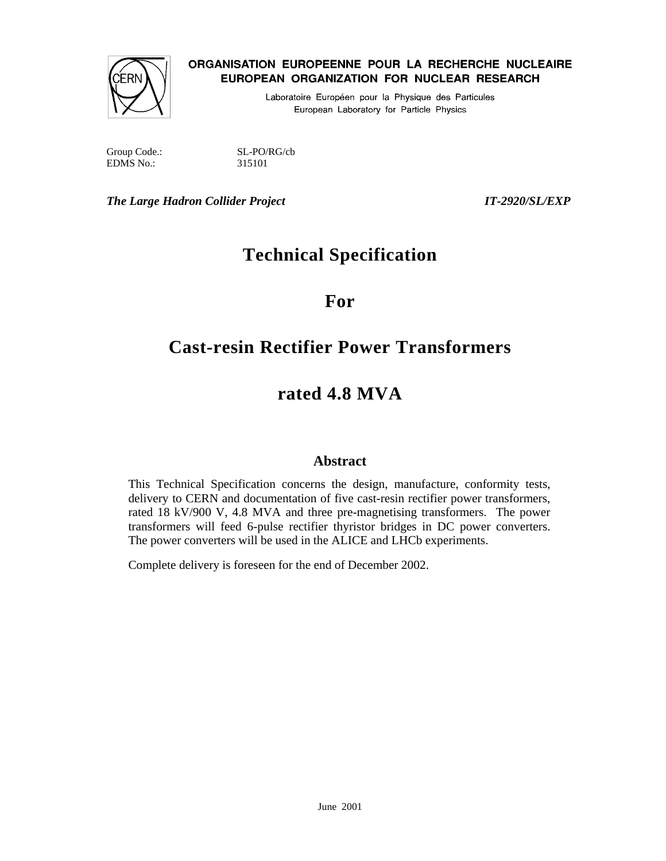

# ORGANISATION EUROPEENNE POUR LA RECHERCHE NUCLEAIRE EUROPEAN ORGANIZATION FOR NUCLEAR RESEARCH

Laboratoire Européen pour la Physique des Particules European Laboratory for Particle Physics

Group Code.: SL-PO/RG/cb EDMS No.: 315101

*The Large Hadron Collider Project IT-2920/SL/EXP* 

# **Technical Specification**

**For** 

# **Cast-resin Rectifier Power Transformers**

# **rated 4.8 MVA**

# **Abstract**

This Technical Specification concerns the design, manufacture, conformity tests, delivery to CERN and documentation of five cast-resin rectifier power transformers, rated 18 kV/900 V, 4.8 MVA and three pre-magnetising transformers. The power transformers will feed 6-pulse rectifier thyristor bridges in DC power converters. The power converters will be used in the ALICE and LHCb experiments.

Complete delivery is foreseen for the end of December 2002.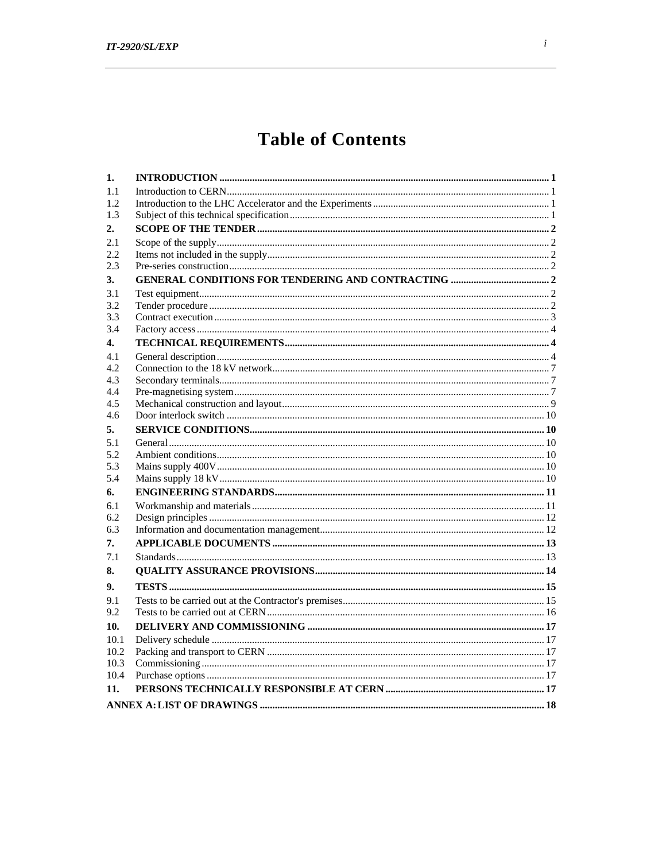# **Table of Contents**

| 1.   | $\bf INTRODUCTION \,\,{} \dots \,\,{} \dots \,\,{} \dots \,\,{} \dots \,\,{} \dots \,\,{} \dots \,\,{} \dots \,\,{} \dots \,\,{} \dots \,\,{} \dots \,\,{} \dots \,\,{} \dots \,\,{} \dots \,\,{} \dots \,\,{} \dots \,\,{} \dots \,\,{} \dots \,\,{} \dots \,\,{} \dots \,\,{} \dots \,\,{} \dots \,\,{} \dots \,\,{} \dots \,\,{} \dots \,\,{} \dots \,\,{} \dots \,\,{} \dots \,\,{} \dots \,\,{} \dots \,\,{} \dots \,\,{} \dots \,\,{} \dots \,\,{} \dots \,\,{} \dots \,\,{} \dots \,\,{} \dots$ |  |
|------|--------------------------------------------------------------------------------------------------------------------------------------------------------------------------------------------------------------------------------------------------------------------------------------------------------------------------------------------------------------------------------------------------------------------------------------------------------------------------------------------------------|--|
| 1.1  |                                                                                                                                                                                                                                                                                                                                                                                                                                                                                                        |  |
| 1.2  |                                                                                                                                                                                                                                                                                                                                                                                                                                                                                                        |  |
| 1.3  |                                                                                                                                                                                                                                                                                                                                                                                                                                                                                                        |  |
| 2.   |                                                                                                                                                                                                                                                                                                                                                                                                                                                                                                        |  |
| 2.1  |                                                                                                                                                                                                                                                                                                                                                                                                                                                                                                        |  |
| 2.2  |                                                                                                                                                                                                                                                                                                                                                                                                                                                                                                        |  |
| 2.3  |                                                                                                                                                                                                                                                                                                                                                                                                                                                                                                        |  |
| 3.   |                                                                                                                                                                                                                                                                                                                                                                                                                                                                                                        |  |
| 3.1  |                                                                                                                                                                                                                                                                                                                                                                                                                                                                                                        |  |
| 3.2  |                                                                                                                                                                                                                                                                                                                                                                                                                                                                                                        |  |
| 3.3  |                                                                                                                                                                                                                                                                                                                                                                                                                                                                                                        |  |
| 3.4  |                                                                                                                                                                                                                                                                                                                                                                                                                                                                                                        |  |
| 4.   |                                                                                                                                                                                                                                                                                                                                                                                                                                                                                                        |  |
| 4.1  |                                                                                                                                                                                                                                                                                                                                                                                                                                                                                                        |  |
| 4.2  |                                                                                                                                                                                                                                                                                                                                                                                                                                                                                                        |  |
| 4.3  |                                                                                                                                                                                                                                                                                                                                                                                                                                                                                                        |  |
| 4.4  |                                                                                                                                                                                                                                                                                                                                                                                                                                                                                                        |  |
| 4.5  |                                                                                                                                                                                                                                                                                                                                                                                                                                                                                                        |  |
| 4.6  |                                                                                                                                                                                                                                                                                                                                                                                                                                                                                                        |  |
| 5.   |                                                                                                                                                                                                                                                                                                                                                                                                                                                                                                        |  |
| 5.1  |                                                                                                                                                                                                                                                                                                                                                                                                                                                                                                        |  |
| 5.2  |                                                                                                                                                                                                                                                                                                                                                                                                                                                                                                        |  |
| 5.3  |                                                                                                                                                                                                                                                                                                                                                                                                                                                                                                        |  |
| 5.4  |                                                                                                                                                                                                                                                                                                                                                                                                                                                                                                        |  |
| 6.   |                                                                                                                                                                                                                                                                                                                                                                                                                                                                                                        |  |
| 6.1  |                                                                                                                                                                                                                                                                                                                                                                                                                                                                                                        |  |
| 6.2  |                                                                                                                                                                                                                                                                                                                                                                                                                                                                                                        |  |
| 6.3  |                                                                                                                                                                                                                                                                                                                                                                                                                                                                                                        |  |
| 7.   |                                                                                                                                                                                                                                                                                                                                                                                                                                                                                                        |  |
| 7.1  |                                                                                                                                                                                                                                                                                                                                                                                                                                                                                                        |  |
| 8.   |                                                                                                                                                                                                                                                                                                                                                                                                                                                                                                        |  |
| 9.   |                                                                                                                                                                                                                                                                                                                                                                                                                                                                                                        |  |
| 9.1  |                                                                                                                                                                                                                                                                                                                                                                                                                                                                                                        |  |
| 9.2  |                                                                                                                                                                                                                                                                                                                                                                                                                                                                                                        |  |
| 10.  |                                                                                                                                                                                                                                                                                                                                                                                                                                                                                                        |  |
| 10.1 |                                                                                                                                                                                                                                                                                                                                                                                                                                                                                                        |  |
| 10.2 |                                                                                                                                                                                                                                                                                                                                                                                                                                                                                                        |  |
| 10.3 |                                                                                                                                                                                                                                                                                                                                                                                                                                                                                                        |  |
| 10.4 |                                                                                                                                                                                                                                                                                                                                                                                                                                                                                                        |  |
| 11.  |                                                                                                                                                                                                                                                                                                                                                                                                                                                                                                        |  |
|      |                                                                                                                                                                                                                                                                                                                                                                                                                                                                                                        |  |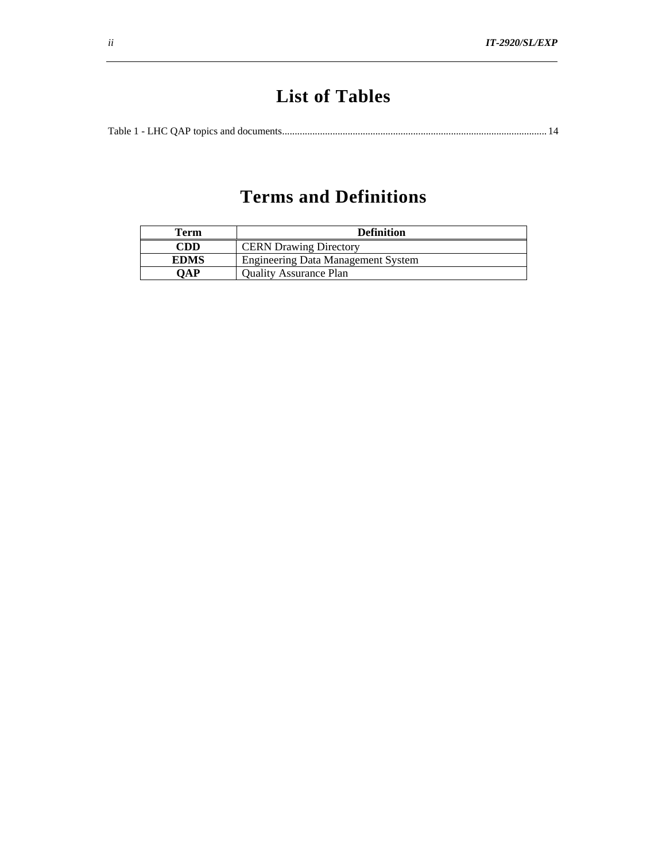# **List of Tables**

Table 1 - LHC QAP topics and documents......................................................................................................... 14

# **Terms and Definitions**

| Term        | <b>Definition</b>                         |  |  |  |  |
|-------------|-------------------------------------------|--|--|--|--|
| CDD         | <b>CERN</b> Drawing Directory             |  |  |  |  |
| <b>EDMS</b> | <b>Engineering Data Management System</b> |  |  |  |  |
| OAP         | <b>Ouality Assurance Plan</b>             |  |  |  |  |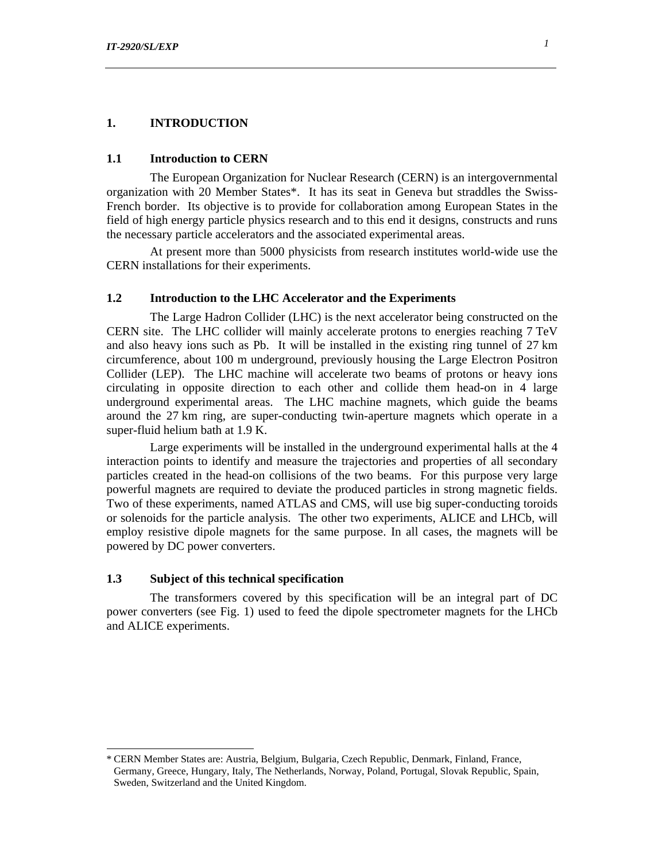#### **1. INTRODUCTION**

#### **1.1 Introduction to CERN**

The European Organization for Nuclear Research (CERN) is an intergovernmental organization with 20 Member States\*. It has its seat in Geneva but straddles the Swiss-French border. Its objective is to provide for collaboration among European States in the field of high energy particle physics research and to this end it designs, constructs and runs the necessary particle accelerators and the associated experimental areas.

At present more than 5000 physicists from research institutes world-wide use the CERN installations for their experiments.

### **1.2 Introduction to the LHC Accelerator and the Experiments**

The Large Hadron Collider (LHC) is the next accelerator being constructed on the CERN site. The LHC collider will mainly accelerate protons to energies reaching 7 TeV and also heavy ions such as Pb. It will be installed in the existing ring tunnel of 27 km circumference, about 100 m underground, previously housing the Large Electron Positron Collider (LEP). The LHC machine will accelerate two beams of protons or heavy ions circulating in opposite direction to each other and collide them head-on in 4 large underground experimental areas. The LHC machine magnets, which guide the beams around the 27 km ring, are super-conducting twin-aperture magnets which operate in a super-fluid helium bath at 1.9 K.

Large experiments will be installed in the underground experimental halls at the 4 interaction points to identify and measure the trajectories and properties of all secondary particles created in the head-on collisions of the two beams. For this purpose very large powerful magnets are required to deviate the produced particles in strong magnetic fields. Two of these experiments, named ATLAS and CMS, will use big super-conducting toroids or solenoids for the particle analysis. The other two experiments, ALICE and LHCb, will employ resistive dipole magnets for the same purpose. In all cases, the magnets will be powered by DC power converters.

#### **1.3 Subject of this technical specification**

 $\overline{a}$ 

The transformers covered by this specification will be an integral part of DC power converters (see Fig. 1) used to feed the dipole spectrometer magnets for the LHCb and ALICE experiments.

<sup>\*</sup> CERN Member States are: Austria, Belgium, Bulgaria, Czech Republic, Denmark, Finland, France, Germany, Greece, Hungary, Italy, The Netherlands, Norway, Poland, Portugal, Slovak Republic, Spain, Sweden, Switzerland and the United Kingdom.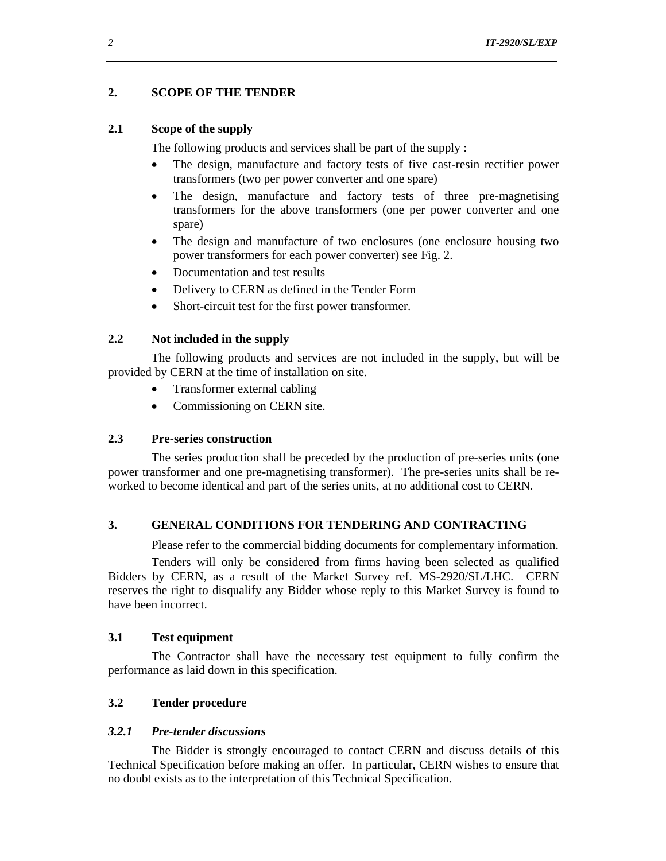# **2. SCOPE OF THE TENDER**

#### **2.1 Scope of the supply**

The following products and services shall be part of the supply :

- The design, manufacture and factory tests of five cast-resin rectifier power transformers (two per power converter and one spare)
- The design, manufacture and factory tests of three pre-magnetising transformers for the above transformers (one per power converter and one spare)
- The design and manufacture of two enclosures (one enclosure housing two power transformers for each power converter) see Fig. 2.
- Documentation and test results
- Delivery to CERN as defined in the Tender Form
- Short-circuit test for the first power transformer.

#### **2.2 Not included in the supply**

The following products and services are not included in the supply, but will be provided by CERN at the time of installation on site.

- Transformer external cabling
- Commissioning on CERN site.

## **2.3 Pre-series construction**

The series production shall be preceded by the production of pre-series units (one power transformer and one pre-magnetising transformer). The pre-series units shall be reworked to become identical and part of the series units, at no additional cost to CERN.

#### **3. GENERAL CONDITIONS FOR TENDERING AND CONTRACTING**

Please refer to the commercial bidding documents for complementary information.

Tenders will only be considered from firms having been selected as qualified Bidders by CERN, as a result of the Market Survey ref. MS-2920/SL/LHC. CERN reserves the right to disqualify any Bidder whose reply to this Market Survey is found to have been incorrect.

### **3.1 Test equipment**

The Contractor shall have the necessary test equipment to fully confirm the performance as laid down in this specification.

#### **3.2 Tender procedure**

#### *3.2.1 Pre-tender discussions*

The Bidder is strongly encouraged to contact CERN and discuss details of this Technical Specification before making an offer. In particular, CERN wishes to ensure that no doubt exists as to the interpretation of this Technical Specification.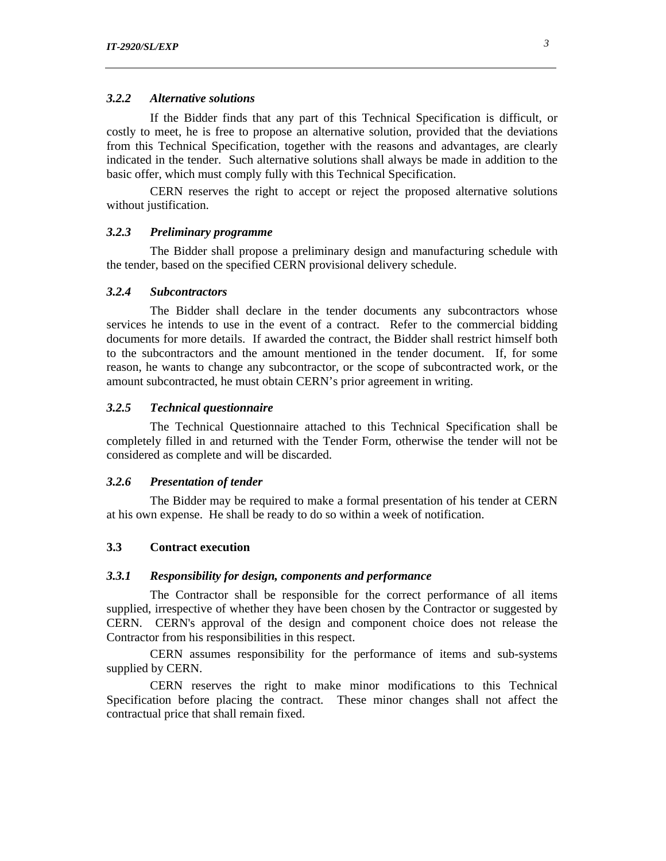## *3.2.2 Alternative solutions*

If the Bidder finds that any part of this Technical Specification is difficult, or costly to meet, he is free to propose an alternative solution, provided that the deviations from this Technical Specification, together with the reasons and advantages, are clearly indicated in the tender. Such alternative solutions shall always be made in addition to the basic offer, which must comply fully with this Technical Specification.

CERN reserves the right to accept or reject the proposed alternative solutions without justification.

#### *3.2.3 Preliminary programme*

The Bidder shall propose a preliminary design and manufacturing schedule with the tender, based on the specified CERN provisional delivery schedule.

#### *3.2.4 Subcontractors*

The Bidder shall declare in the tender documents any subcontractors whose services he intends to use in the event of a contract. Refer to the commercial bidding documents for more details. If awarded the contract, the Bidder shall restrict himself both to the subcontractors and the amount mentioned in the tender document. If, for some reason, he wants to change any subcontractor, or the scope of subcontracted work, or the amount subcontracted, he must obtain CERN's prior agreement in writing.

### *3.2.5 Technical questionnaire*

The Technical Questionnaire attached to this Technical Specification shall be completely filled in and returned with the Tender Form, otherwise the tender will not be considered as complete and will be discarded.

#### *3.2.6 Presentation of tender*

The Bidder may be required to make a formal presentation of his tender at CERN at his own expense. He shall be ready to do so within a week of notification.

#### **3.3 Contract execution**

#### *3.3.1 Responsibility for design, components and performance*

The Contractor shall be responsible for the correct performance of all items supplied, irrespective of whether they have been chosen by the Contractor or suggested by CERN. CERN's approval of the design and component choice does not release the Contractor from his responsibilities in this respect.

CERN assumes responsibility for the performance of items and sub-systems supplied by CERN.

CERN reserves the right to make minor modifications to this Technical Specification before placing the contract. These minor changes shall not affect the contractual price that shall remain fixed.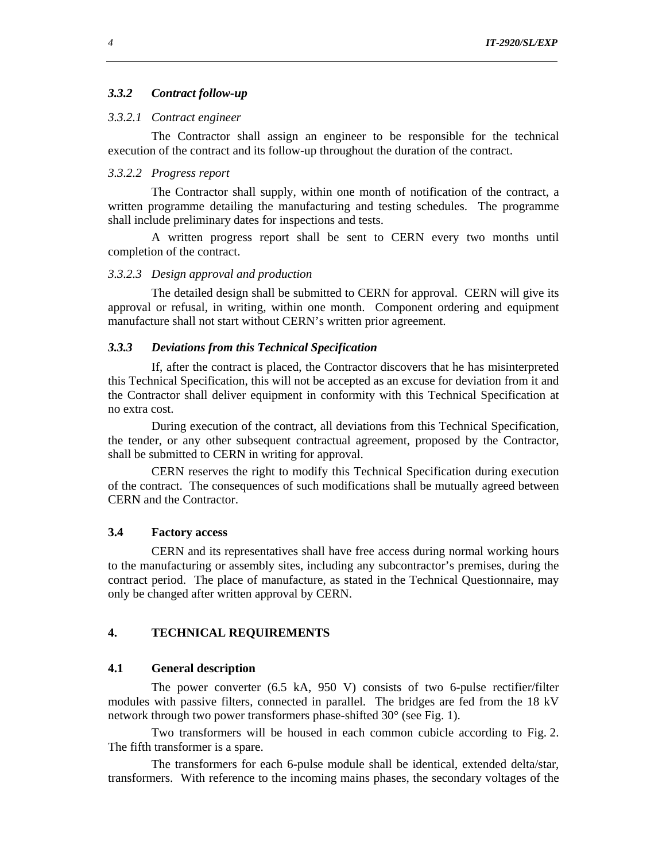#### *3.3.2 Contract follow-up*

# *3.3.2.1 Contract engineer*

The Contractor shall assign an engineer to be responsible for the technical execution of the contract and its follow-up throughout the duration of the contract.

# *3.3.2.2 Progress report*

The Contractor shall supply, within one month of notification of the contract, a written programme detailing the manufacturing and testing schedules. The programme shall include preliminary dates for inspections and tests.

A written progress report shall be sent to CERN every two months until completion of the contract.

#### *3.3.2.3 Design approval and production*

The detailed design shall be submitted to CERN for approval. CERN will give its approval or refusal, in writing, within one month. Component ordering and equipment manufacture shall not start without CERN's written prior agreement.

## *3.3.3 Deviations from this Technical Specification*

If, after the contract is placed, the Contractor discovers that he has misinterpreted this Technical Specification, this will not be accepted as an excuse for deviation from it and the Contractor shall deliver equipment in conformity with this Technical Specification at no extra cost.

During execution of the contract, all deviations from this Technical Specification, the tender, or any other subsequent contractual agreement, proposed by the Contractor, shall be submitted to CERN in writing for approval.

CERN reserves the right to modify this Technical Specification during execution of the contract. The consequences of such modifications shall be mutually agreed between CERN and the Contractor.

# **3.4 Factory access**

CERN and its representatives shall have free access during normal working hours to the manufacturing or assembly sites, including any subcontractor's premises, during the contract period. The place of manufacture, as stated in the Technical Questionnaire, may only be changed after written approval by CERN.

## **4. TECHNICAL REQUIREMENTS**

#### **4.1 General description**

The power converter (6.5 kA, 950 V) consists of two 6-pulse rectifier/filter modules with passive filters, connected in parallel. The bridges are fed from the 18 kV network through two power transformers phase-shifted 30° (see Fig. 1).

Two transformers will be housed in each common cubicle according to Fig. 2. The fifth transformer is a spare.

The transformers for each 6-pulse module shall be identical, extended delta/star, transformers. With reference to the incoming mains phases, the secondary voltages of the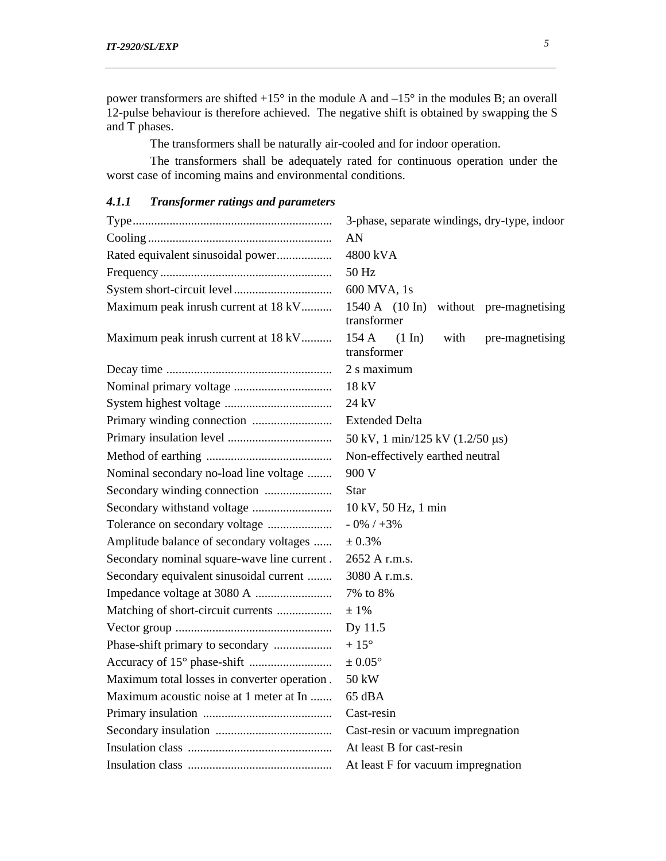power transformers are shifted  $+15^{\circ}$  in the module A and  $-15^{\circ}$  in the modules B; an overall 12-pulse behaviour is therefore achieved. The negative shift is obtained by swapping the S and T phases.

The transformers shall be naturally air-cooled and for indoor operation.

The transformers shall be adequately rated for continuous operation under the worst case of incoming mains and environmental conditions.

|                                              | 3-phase, separate windings, dry-type, indoor                                 |  |  |  |
|----------------------------------------------|------------------------------------------------------------------------------|--|--|--|
|                                              | AN                                                                           |  |  |  |
| Rated equivalent sinusoidal power            | 4800 kVA                                                                     |  |  |  |
|                                              | 50 Hz                                                                        |  |  |  |
|                                              | 600 MVA, 1s                                                                  |  |  |  |
| Maximum peak inrush current at 18 kV         | $1540 \text{ A}$ $(10 \text{ In})$<br>without pre-magnetising<br>transformer |  |  |  |
| Maximum peak inrush current at 18 kV         | 154A<br>$(1 \text{ In})$<br>with<br>pre-magnetising<br>transformer           |  |  |  |
|                                              | 2 s maximum                                                                  |  |  |  |
|                                              | 18 kV                                                                        |  |  |  |
|                                              | 24 kV                                                                        |  |  |  |
|                                              | <b>Extended Delta</b>                                                        |  |  |  |
|                                              | 50 kV, 1 min/125 kV (1.2/50 μs)                                              |  |  |  |
|                                              | Non-effectively earthed neutral                                              |  |  |  |
| Nominal secondary no-load line voltage       | 900 V                                                                        |  |  |  |
|                                              | <b>Star</b>                                                                  |  |  |  |
|                                              | 10 kV, 50 Hz, 1 min                                                          |  |  |  |
|                                              | $-0\%$ / $+3\%$                                                              |  |  |  |
| Amplitude balance of secondary voltages      | ± 0.3%                                                                       |  |  |  |
| Secondary nominal square-wave line current.  | 2652 A r.m.s.                                                                |  |  |  |
| Secondary equivalent sinusoidal current      | 3080 A r.m.s.                                                                |  |  |  |
|                                              | 7% to 8%                                                                     |  |  |  |
| Matching of short-circuit currents           | $±1\%$                                                                       |  |  |  |
|                                              | Dy 11.5                                                                      |  |  |  |
| Phase-shift primary to secondary             | $+15^{\circ}$                                                                |  |  |  |
|                                              | $\pm 0.05^{\circ}$                                                           |  |  |  |
| Maximum total losses in converter operation. | 50 kW                                                                        |  |  |  |
| Maximum acoustic noise at 1 meter at In      | 65 dBA                                                                       |  |  |  |
|                                              | Cast-resin                                                                   |  |  |  |
|                                              | Cast-resin or vacuum impregnation                                            |  |  |  |
|                                              | At least B for cast-resin                                                    |  |  |  |
|                                              | At least F for vacuum impregnation                                           |  |  |  |

## *4.1.1 Transformer ratings and parameters*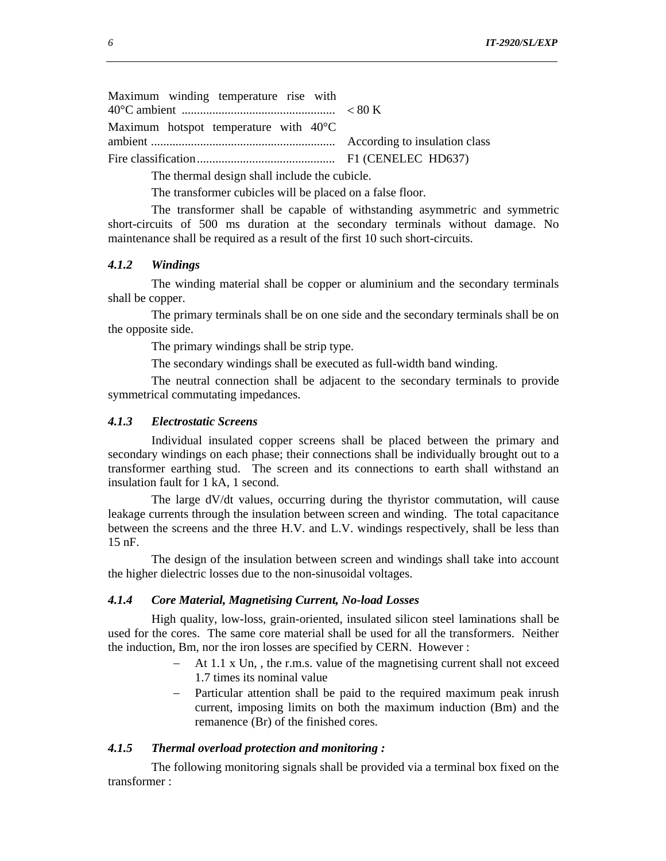Maximum winding temperature rise with 40°C ambient .................................................. < 80 K Maximum hotspot temperature with 40°C ambient ............................................................ According to insulation class Fire classification............................................. F1 (CENELEC HD637)

The thermal design shall include the cubicle.

The transformer cubicles will be placed on a false floor.

The transformer shall be capable of withstanding asymmetric and symmetric short-circuits of 500 ms duration at the secondary terminals without damage. No maintenance shall be required as a result of the first 10 such short-circuits.

## *4.1.2 Windings*

The winding material shall be copper or aluminium and the secondary terminals shall be copper.

The primary terminals shall be on one side and the secondary terminals shall be on the opposite side.

The primary windings shall be strip type.

The secondary windings shall be executed as full-width band winding.

The neutral connection shall be adjacent to the secondary terminals to provide symmetrical commutating impedances.

#### *4.1.3 Electrostatic Screens*

Individual insulated copper screens shall be placed between the primary and secondary windings on each phase; their connections shall be individually brought out to a transformer earthing stud. The screen and its connections to earth shall withstand an insulation fault for 1 kA, 1 second.

The large dV/dt values, occurring during the thyristor commutation, will cause leakage currents through the insulation between screen and winding. The total capacitance between the screens and the three H.V. and L.V. windings respectively, shall be less than 15 nF.

The design of the insulation between screen and windings shall take into account the higher dielectric losses due to the non-sinusoidal voltages.

#### *4.1.4 Core Material, Magnetising Current, No-load Losses*

High quality, low-loss, grain-oriented, insulated silicon steel laminations shall be used for the cores. The same core material shall be used for all the transformers. Neither the induction, Bm, nor the iron losses are specified by CERN. However :

- − At 1.1 x Un, , the r.m.s. value of the magnetising current shall not exceed 1.7 times its nominal value
- − Particular attention shall be paid to the required maximum peak inrush current, imposing limits on both the maximum induction (Bm) and the remanence (Br) of the finished cores.

#### *4.1.5 Thermal overload protection and monitoring :*

The following monitoring signals shall be provided via a terminal box fixed on the transformer :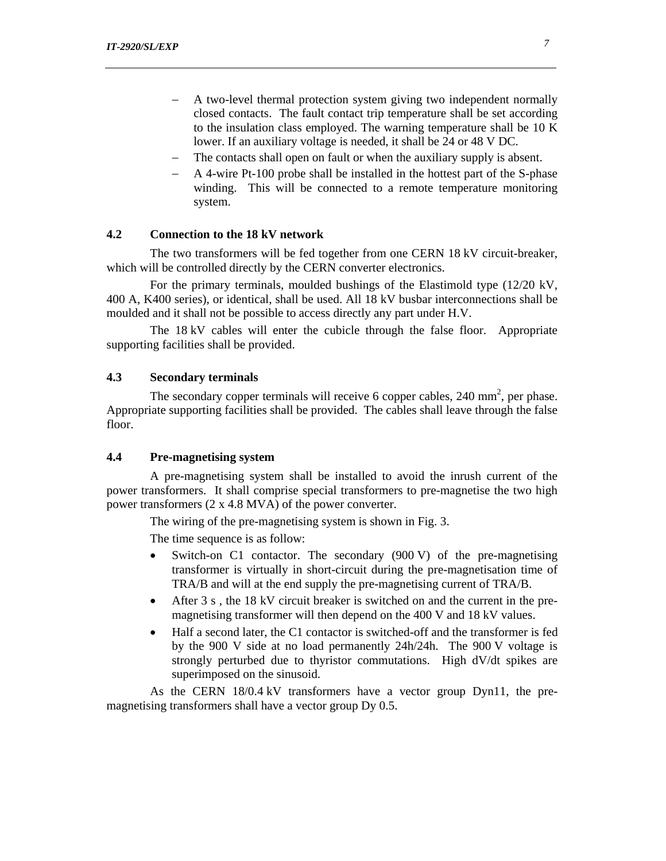- − A two-level thermal protection system giving two independent normally closed contacts. The fault contact trip temperature shall be set according to the insulation class employed. The warning temperature shall be 10 K lower. If an auxiliary voltage is needed, it shall be 24 or 48 V DC.
- The contacts shall open on fault or when the auxiliary supply is absent.
- − A 4-wire Pt-100 probe shall be installed in the hottest part of the S-phase winding. This will be connected to a remote temperature monitoring system.

# **4.2 Connection to the 18 kV network**

The two transformers will be fed together from one CERN 18 kV circuit-breaker, which will be controlled directly by the CERN converter electronics.

For the primary terminals, moulded bushings of the Elastimold type (12/20 kV, 400 A, K400 series), or identical, shall be used. All 18 kV busbar interconnections shall be moulded and it shall not be possible to access directly any part under H.V.

The 18 kV cables will enter the cubicle through the false floor. Appropriate supporting facilities shall be provided.

# **4.3 Secondary terminals**

The secondary copper terminals will receive 6 copper cables,  $240 \text{ mm}^2$ , per phase. Appropriate supporting facilities shall be provided. The cables shall leave through the false floor.

## **4.4 Pre-magnetising system**

A pre-magnetising system shall be installed to avoid the inrush current of the power transformers. It shall comprise special transformers to pre-magnetise the two high power transformers (2 x 4.8 MVA) of the power converter.

The wiring of the pre-magnetising system is shown in Fig. 3.

The time sequence is as follow:

- Switch-on C1 contactor. The secondary  $(900 \text{ V})$  of the pre-magnetising transformer is virtually in short-circuit during the pre-magnetisation time of TRA/B and will at the end supply the pre-magnetising current of TRA/B.
- After 3 s, the 18 kV circuit breaker is switched on and the current in the premagnetising transformer will then depend on the 400 V and 18 kV values.
- Half a second later, the C1 contactor is switched-off and the transformer is fed by the 900 V side at no load permanently 24h/24h. The 900 V voltage is strongly perturbed due to thyristor commutations. High dV/dt spikes are superimposed on the sinusoid.

As the CERN 18/0.4 kV transformers have a vector group Dyn11, the premagnetising transformers shall have a vector group Dy 0.5.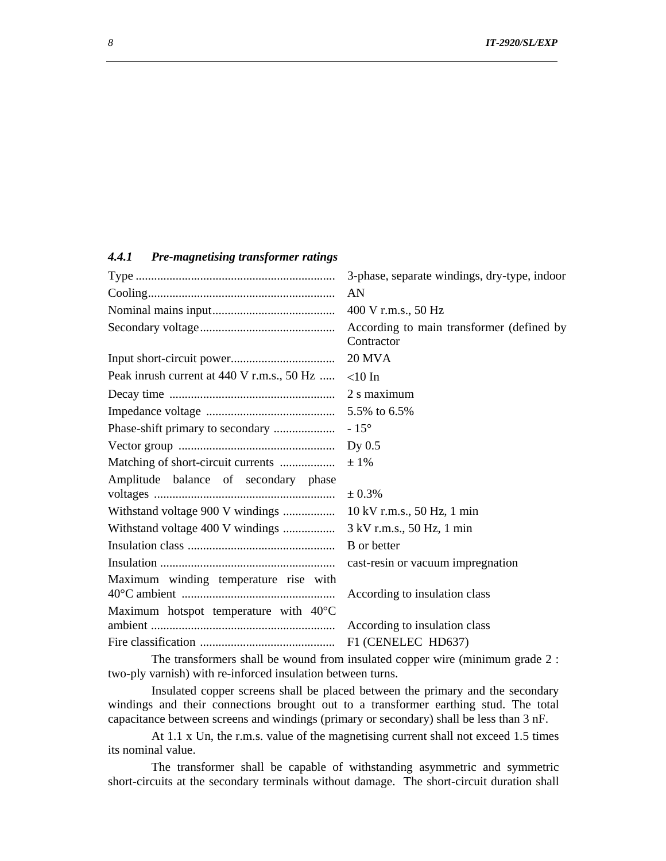# *4.4.1 Pre-magnetising transformer ratings*

|                                                                                                                                                                                                                                | 3-phase, separate windings, dry-type, indoor            |  |  |
|--------------------------------------------------------------------------------------------------------------------------------------------------------------------------------------------------------------------------------|---------------------------------------------------------|--|--|
|                                                                                                                                                                                                                                | AN                                                      |  |  |
|                                                                                                                                                                                                                                | 400 V r.m.s., 50 Hz                                     |  |  |
|                                                                                                                                                                                                                                | According to main transformer (defined by<br>Contractor |  |  |
|                                                                                                                                                                                                                                | <b>20 MVA</b>                                           |  |  |
| Peak inrush current at 440 V r.m.s., 50 Hz                                                                                                                                                                                     | $<$ 10 In                                               |  |  |
|                                                                                                                                                                                                                                | 2 s maximum                                             |  |  |
|                                                                                                                                                                                                                                | 5.5% to 6.5%                                            |  |  |
|                                                                                                                                                                                                                                | $-15^{\circ}$                                           |  |  |
|                                                                                                                                                                                                                                | Dy $0.5$                                                |  |  |
| Matching of short-circuit currents                                                                                                                                                                                             | $±1\%$                                                  |  |  |
| Amplitude balance of secondary phase                                                                                                                                                                                           |                                                         |  |  |
|                                                                                                                                                                                                                                | ± 0.3%                                                  |  |  |
| Withstand voltage 900 V windings                                                                                                                                                                                               | 10 kV r.m.s., 50 Hz, 1 min                              |  |  |
| Withstand voltage 400 V windings                                                                                                                                                                                               | 3 kV r.m.s., 50 Hz, 1 min                               |  |  |
|                                                                                                                                                                                                                                | <b>B</b> or better                                      |  |  |
|                                                                                                                                                                                                                                | cast-resin or vacuum impregnation                       |  |  |
| Maximum winding temperature rise with                                                                                                                                                                                          |                                                         |  |  |
|                                                                                                                                                                                                                                | According to insulation class                           |  |  |
| Maximum hotspot temperature with 40°C                                                                                                                                                                                          |                                                         |  |  |
|                                                                                                                                                                                                                                | According to insulation class                           |  |  |
|                                                                                                                                                                                                                                | F1 (CENELEC HD637)                                      |  |  |
| a a substantial state of the state of the state of the state of the state of the state of the state of the state of the state of the state of the state of the state of the state of the state of the state of the state of th |                                                         |  |  |

The transformers shall be wound from insulated copper wire (minimum grade 2 : two-ply varnish) with re-inforced insulation between turns.

Insulated copper screens shall be placed between the primary and the secondary windings and their connections brought out to a transformer earthing stud. The total capacitance between screens and windings (primary or secondary) shall be less than 3 nF.

At 1.1 x Un, the r.m.s. value of the magnetising current shall not exceed 1.5 times its nominal value.

The transformer shall be capable of withstanding asymmetric and symmetric short-circuits at the secondary terminals without damage. The short-circuit duration shall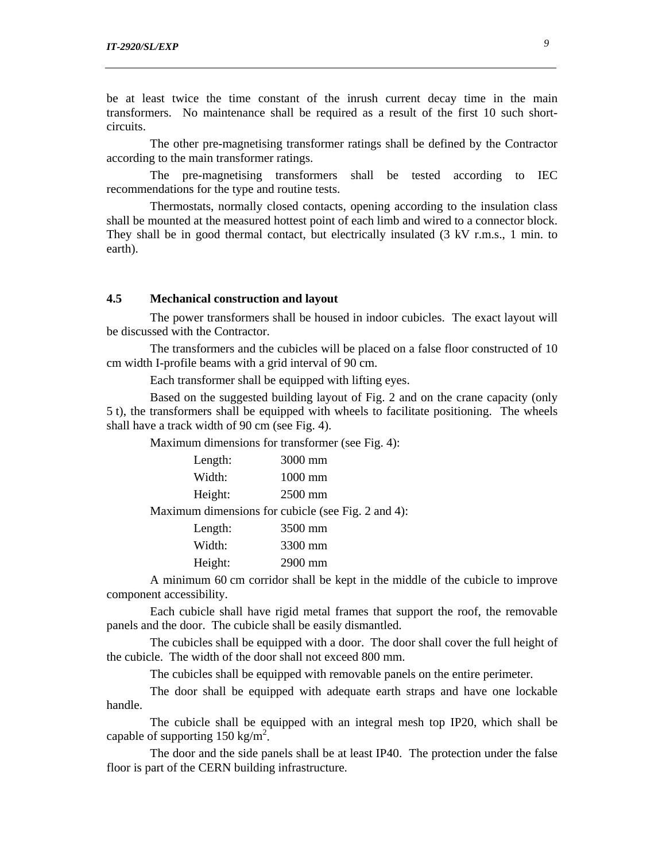be at least twice the time constant of the inrush current decay time in the main transformers. No maintenance shall be required as a result of the first 10 such shortcircuits.

The other pre-magnetising transformer ratings shall be defined by the Contractor according to the main transformer ratings.

The pre-magnetising transformers shall be tested according to IEC recommendations for the type and routine tests.

Thermostats, normally closed contacts, opening according to the insulation class shall be mounted at the measured hottest point of each limb and wired to a connector block. They shall be in good thermal contact, but electrically insulated (3 kV r.m.s., 1 min. to earth).

### **4.5 Mechanical construction and layout**

The power transformers shall be housed in indoor cubicles. The exact layout will be discussed with the Contractor.

The transformers and the cubicles will be placed on a false floor constructed of 10 cm width I-profile beams with a grid interval of 90 cm.

Each transformer shall be equipped with lifting eyes.

Based on the suggested building layout of Fig. 2 and on the crane capacity (only 5 t), the transformers shall be equipped with wheels to facilitate positioning. The wheels shall have a track width of 90 cm (see Fig. 4).

Maximum dimensions for transformer (see Fig. 4):

| Length: | 3000 mm                                            |
|---------|----------------------------------------------------|
| Width:  | $1000$ mm                                          |
| Height: | $2500$ mm                                          |
|         | Maximum dimensions for cubicle (see Fig. 2 and 4): |
| Length: | 3500 mm                                            |
| Width:  | 3300 mm                                            |

Height: 2900 mm

A minimum 60 cm corridor shall be kept in the middle of the cubicle to improve component accessibility.

Each cubicle shall have rigid metal frames that support the roof, the removable panels and the door. The cubicle shall be easily dismantled.

The cubicles shall be equipped with a door. The door shall cover the full height of the cubicle. The width of the door shall not exceed 800 mm.

The cubicles shall be equipped with removable panels on the entire perimeter.

The door shall be equipped with adequate earth straps and have one lockable handle.

The cubicle shall be equipped with an integral mesh top IP20, which shall be capable of supporting  $150 \text{ kg/m}^2$ .

The door and the side panels shall be at least IP40. The protection under the false floor is part of the CERN building infrastructure.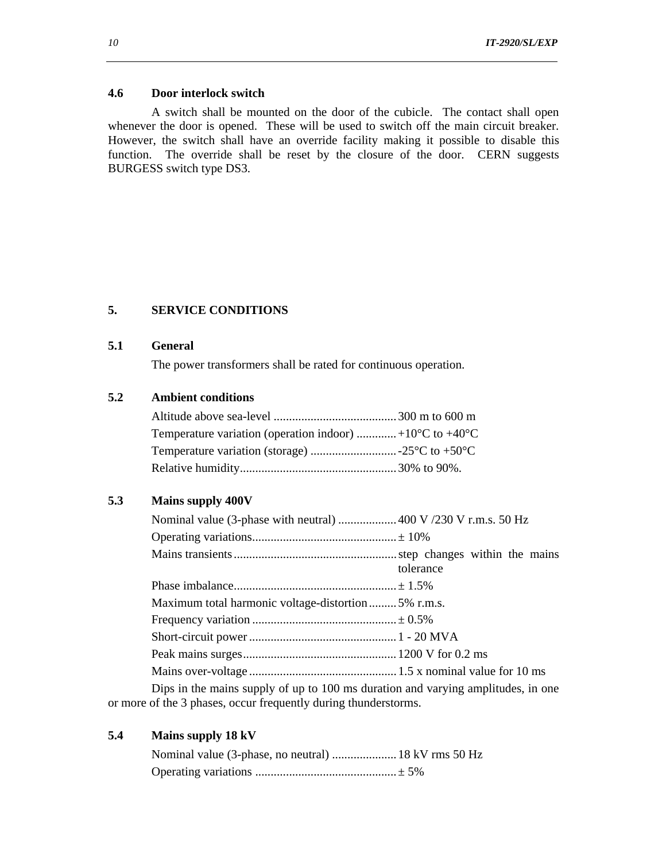#### **4.6 Door interlock switch**

A switch shall be mounted on the door of the cubicle. The contact shall open whenever the door is opened. These will be used to switch off the main circuit breaker. However, the switch shall have an override facility making it possible to disable this function. The override shall be reset by the closure of the door. CERN suggests BURGESS switch type DS3.

# **5. SERVICE CONDITIONS**

# **5.1 General**

The power transformers shall be rated for continuous operation.

# **5.2 Ambient conditions**

| Temperature variation (operation indoor) +10 $\rm ^{o}C$ to +40 $\rm ^{o}C$ |  |
|-----------------------------------------------------------------------------|--|
|                                                                             |  |
|                                                                             |  |

### **5.3 Mains supply 400V**

| Nominal value (3-phase with neutral)  400 V /230 V r.m.s. 50 Hz                  |           |  |  |
|----------------------------------------------------------------------------------|-----------|--|--|
|                                                                                  |           |  |  |
|                                                                                  | tolerance |  |  |
|                                                                                  |           |  |  |
| Maximum total harmonic voltage-distortion5% r.m.s.                               |           |  |  |
|                                                                                  |           |  |  |
|                                                                                  |           |  |  |
|                                                                                  |           |  |  |
|                                                                                  |           |  |  |
| Dips in the mains supply of up to 100 ms duration and varying amplitudes, in one |           |  |  |
|                                                                                  |           |  |  |

or more of the 3 phases, occur frequently during thunderstorms.

| Mains supply 18 kV<br>5.4 |  |
|---------------------------|--|
|---------------------------|--|

| Nominal value (3-phase, no neutral)  18 kV rms 50 Hz |  |
|------------------------------------------------------|--|
|                                                      |  |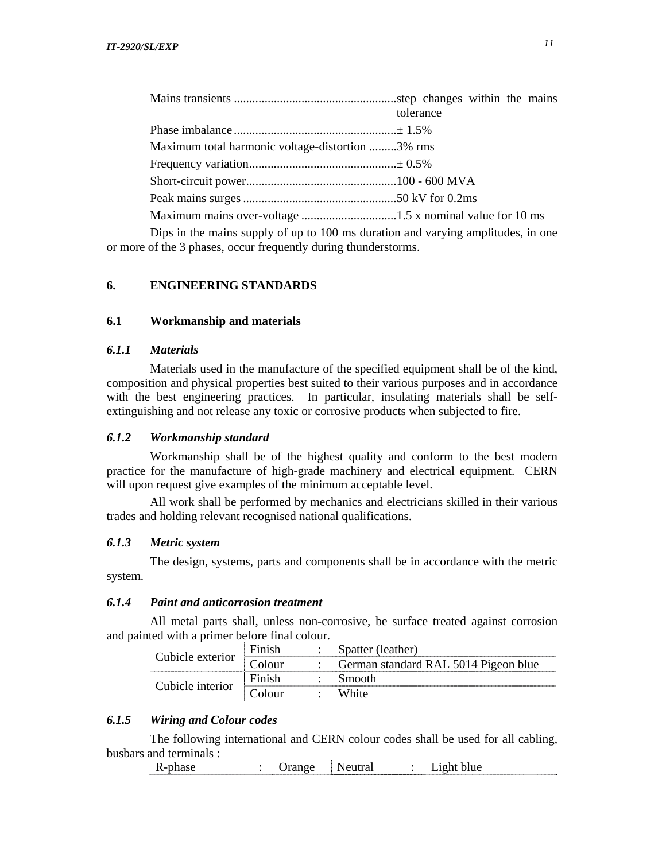|                                                                                 | tolerance |  |  |  |
|---------------------------------------------------------------------------------|-----------|--|--|--|
|                                                                                 |           |  |  |  |
| Maximum total harmonic voltage-distortion 3% rms                                |           |  |  |  |
|                                                                                 |           |  |  |  |
|                                                                                 |           |  |  |  |
|                                                                                 |           |  |  |  |
|                                                                                 |           |  |  |  |
| Ding in the mains supply of up to 100 ms duration and verying applitudes in one |           |  |  |  |

Dips in the mains supply of up to 100 ms duration and varying amplitudes, in one or more of the 3 phases, occur frequently during thunderstorms.

# **6. ENGINEERING STANDARDS**

#### **6.1 Workmanship and materials**

## *6.1.1 Materials*

Materials used in the manufacture of the specified equipment shall be of the kind, composition and physical properties best suited to their various purposes and in accordance with the best engineering practices. In particular, insulating materials shall be selfextinguishing and not release any toxic or corrosive products when subjected to fire.

#### *6.1.2 Workmanship standard*

Workmanship shall be of the highest quality and conform to the best modern practice for the manufacture of high-grade machinery and electrical equipment. CERN will upon request give examples of the minimum acceptable level.

All work shall be performed by mechanics and electricians skilled in their various trades and holding relevant recognised national qualifications.

#### *6.1.3 Metric system*

The design, systems, parts and components shall be in accordance with the metric system.

## *6.1.4 Paint and anticorrosion treatment*

All metal parts shall, unless non-corrosive, be surface treated against corrosion and painted with a primer before final colour.

|                  | Finish    | Spatter (leather)                    |
|------------------|-----------|--------------------------------------|
| Cubicle exterior | , `olour_ | German standard RAL 5014 Pigeon blue |
| Cubicle interior | Finish    | Smooth                               |
|                  | . `olour_ | White                                |

# *6.1.5 Wiring and Colour codes*

The following international and CERN colour codes shall be used for all cabling, busbars and terminals :

R-phase : Orange Neutral : Light blue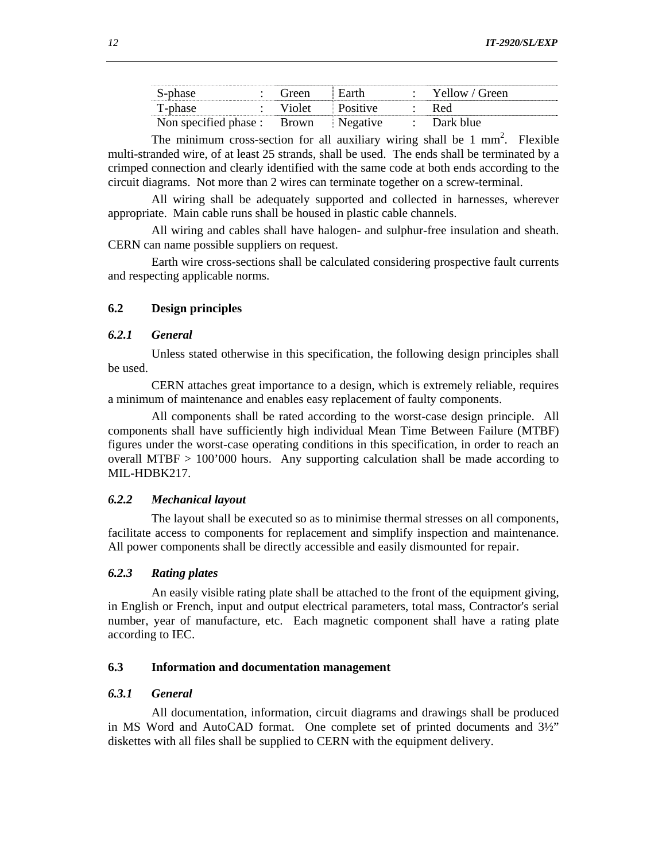| S-phase                     | l ireen | Earth           | Yellow / Green |
|-----------------------------|---------|-----------------|----------------|
| T-phase                     | Violet  | <b>Positive</b> | Red            |
| Non specified phase : Brown |         | Negative        | Dark blue      |

The minimum cross-section for all auxiliary wiring shall be  $1 \text{ mm}^2$ . Flexible multi-stranded wire, of at least 25 strands, shall be used. The ends shall be terminated by a crimped connection and clearly identified with the same code at both ends according to the circuit diagrams. Not more than 2 wires can terminate together on a screw-terminal.

All wiring shall be adequately supported and collected in harnesses, wherever appropriate. Main cable runs shall be housed in plastic cable channels.

All wiring and cables shall have halogen- and sulphur-free insulation and sheath. CERN can name possible suppliers on request.

Earth wire cross-sections shall be calculated considering prospective fault currents and respecting applicable norms.

## **6.2 Design principles**

## *6.2.1 General*

Unless stated otherwise in this specification, the following design principles shall be used.

CERN attaches great importance to a design, which is extremely reliable, requires a minimum of maintenance and enables easy replacement of faulty components.

All components shall be rated according to the worst-case design principle. All components shall have sufficiently high individual Mean Time Between Failure (MTBF) figures under the worst-case operating conditions in this specification, in order to reach an overall MTBF > 100'000 hours. Any supporting calculation shall be made according to MIL-HDBK217.

#### *6.2.2 Mechanical layout*

The layout shall be executed so as to minimise thermal stresses on all components, facilitate access to components for replacement and simplify inspection and maintenance. All power components shall be directly accessible and easily dismounted for repair.

# *6.2.3 Rating plates*

An easily visible rating plate shall be attached to the front of the equipment giving, in English or French, input and output electrical parameters, total mass, Contractor's serial number, year of manufacture, etc. Each magnetic component shall have a rating plate according to IEC.

#### **6.3 Information and documentation management**

# *6.3.1 General*

All documentation, information, circuit diagrams and drawings shall be produced in MS Word and AutoCAD format. One complete set of printed documents and 3½" diskettes with all files shall be supplied to CERN with the equipment delivery.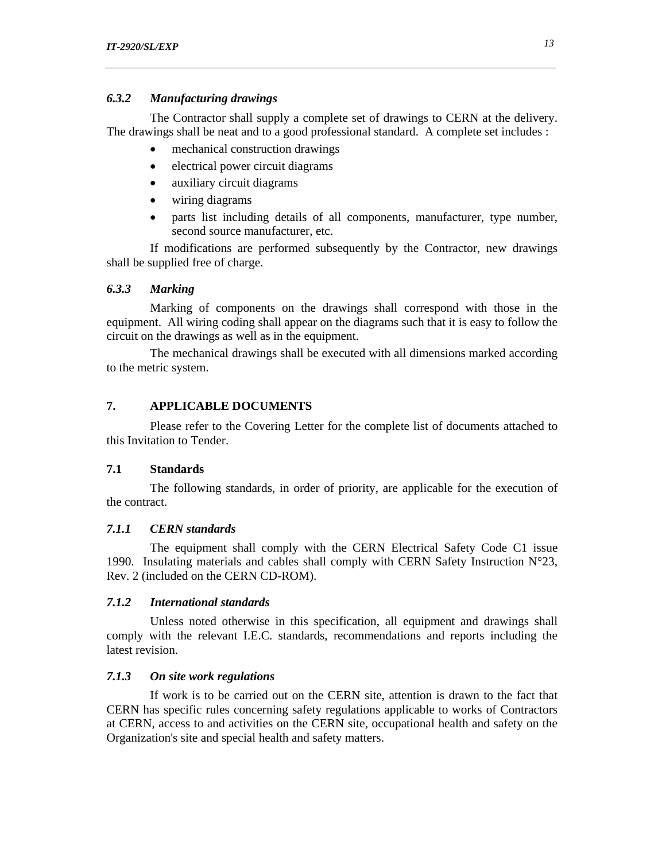## *6.3.2 Manufacturing drawings*

The Contractor shall supply a complete set of drawings to CERN at the delivery. The drawings shall be neat and to a good professional standard. A complete set includes :

- mechanical construction drawings
- electrical power circuit diagrams
- auxiliary circuit diagrams
- wiring diagrams
- parts list including details of all components, manufacturer, type number, second source manufacturer, etc.

If modifications are performed subsequently by the Contractor, new drawings shall be supplied free of charge.

## *6.3.3 Marking*

Marking of components on the drawings shall correspond with those in the equipment. All wiring coding shall appear on the diagrams such that it is easy to follow the circuit on the drawings as well as in the equipment.

The mechanical drawings shall be executed with all dimensions marked according to the metric system.

# **7. APPLICABLE DOCUMENTS**

Please refer to the Covering Letter for the complete list of documents attached to this Invitation to Tender.

#### **7.1 Standards**

The following standards, in order of priority, are applicable for the execution of the contract.

# *7.1.1 CERN standards*

The equipment shall comply with the CERN Electrical Safety Code C1 issue 1990. Insulating materials and cables shall comply with CERN Safety Instruction  $N^{\circ}23$ , Rev. 2 (included on the CERN CD-ROM).

#### *7.1.2 International standards*

Unless noted otherwise in this specification, all equipment and drawings shall comply with the relevant I.E.C. standards, recommendations and reports including the latest revision.

### *7.1.3 On site work regulations*

If work is to be carried out on the CERN site, attention is drawn to the fact that CERN has specific rules concerning safety regulations applicable to works of Contractors at CERN, access to and activities on the CERN site, occupational health and safety on the Organization's site and special health and safety matters.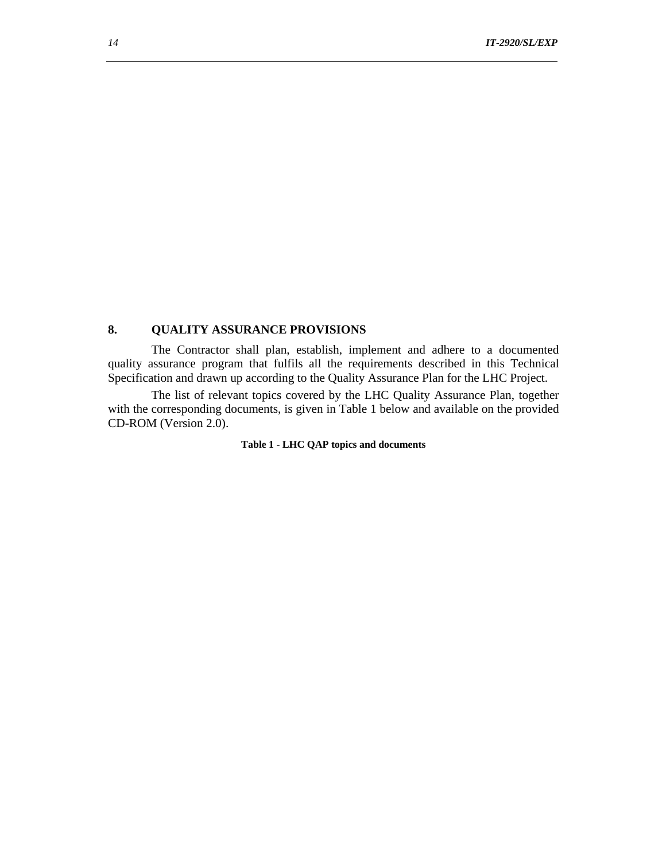# **8. QUALITY ASSURANCE PROVISIONS**

The Contractor shall plan, establish, implement and adhere to a documented quality assurance program that fulfils all the requirements described in this Technical Specification and drawn up according to the Quality Assurance Plan for the LHC Project.

The list of relevant topics covered by the LHC Quality Assurance Plan, together with the corresponding documents, is given in Table 1 below and available on the provided CD-ROM (Version 2.0).

#### **Table 1 - LHC QAP topics and documents**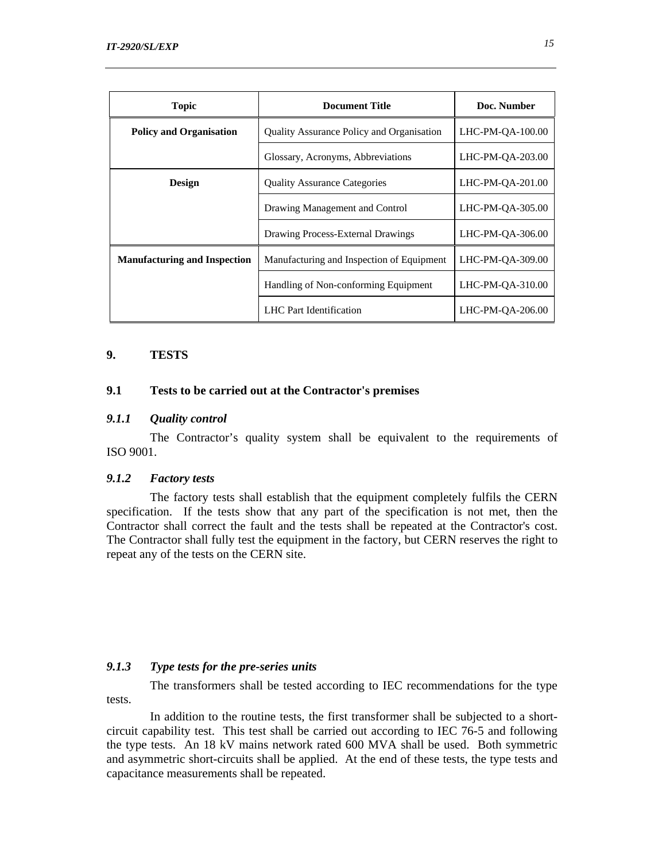| <b>Topic</b>                        | <b>Document Title</b>                     | Doc. Number      |
|-------------------------------------|-------------------------------------------|------------------|
| <b>Policy and Organisation</b>      | Quality Assurance Policy and Organisation | LHC-PM-OA-100.00 |
|                                     | Glossary, Acronyms, Abbreviations         | LHC-PM-OA-203.00 |
| <b>Design</b>                       | <b>Quality Assurance Categories</b>       | LHC-PM-OA-201.00 |
|                                     | Drawing Management and Control            | LHC-PM-OA-305.00 |
|                                     | Drawing Process-External Drawings         | LHC-PM-OA-306.00 |
| <b>Manufacturing and Inspection</b> | Manufacturing and Inspection of Equipment | LHC-PM-OA-309.00 |
|                                     | Handling of Non-conforming Equipment      | LHC-PM-OA-310.00 |
|                                     | LHC Part Identification                   | LHC-PM-OA-206.00 |

# **9. TESTS**

## **9.1 Tests to be carried out at the Contractor's premises**

#### *9.1.1 Quality control*

The Contractor's quality system shall be equivalent to the requirements of ISO 9001.

# *9.1.2 Factory tests*

The factory tests shall establish that the equipment completely fulfils the CERN specification. If the tests show that any part of the specification is not met, then the Contractor shall correct the fault and the tests shall be repeated at the Contractor's cost. The Contractor shall fully test the equipment in the factory, but CERN reserves the right to repeat any of the tests on the CERN site.

# *9.1.3 Type tests for the pre-series units*

The transformers shall be tested according to IEC recommendations for the type tests.

In addition to the routine tests, the first transformer shall be subjected to a shortcircuit capability test. This test shall be carried out according to IEC 76-5 and following the type tests. An 18 kV mains network rated 600 MVA shall be used. Both symmetric and asymmetric short-circuits shall be applied. At the end of these tests, the type tests and capacitance measurements shall be repeated.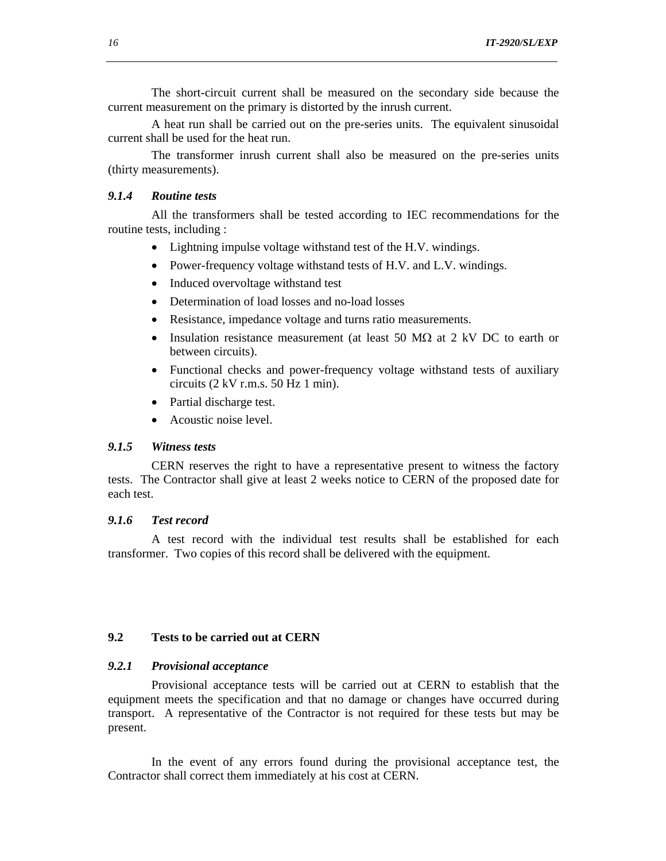The short-circuit current shall be measured on the secondary side because the current measurement on the primary is distorted by the inrush current.

A heat run shall be carried out on the pre-series units. The equivalent sinusoidal current shall be used for the heat run.

The transformer inrush current shall also be measured on the pre-series units (thirty measurements).

### *9.1.4 Routine tests*

All the transformers shall be tested according to IEC recommendations for the routine tests, including :

- Lightning impulse voltage withstand test of the H.V. windings.
- Power-frequency voltage withstand tests of H.V. and L.V. windings.
- Induced overvoltage withstand test
- Determination of load losses and no-load losses
- Resistance, impedance voltage and turns ratio measurements.
- Insulation resistance measurement (at least 50  $\text{M}\Omega$  at 2 kV DC to earth or between circuits).
- Functional checks and power-frequency voltage withstand tests of auxiliary circuits (2 kV r.m.s. 50 Hz 1 min).
- Partial discharge test.
- Acoustic noise level.

### *9.1.5 Witness tests*

CERN reserves the right to have a representative present to witness the factory tests. The Contractor shall give at least 2 weeks notice to CERN of the proposed date for each test.

#### *9.1.6 Test record*

A test record with the individual test results shall be established for each transformer. Two copies of this record shall be delivered with the equipment.

#### **9.2 Tests to be carried out at CERN**

#### *9.2.1 Provisional acceptance*

Provisional acceptance tests will be carried out at CERN to establish that the equipment meets the specification and that no damage or changes have occurred during transport. A representative of the Contractor is not required for these tests but may be present.

In the event of any errors found during the provisional acceptance test, the Contractor shall correct them immediately at his cost at CERN.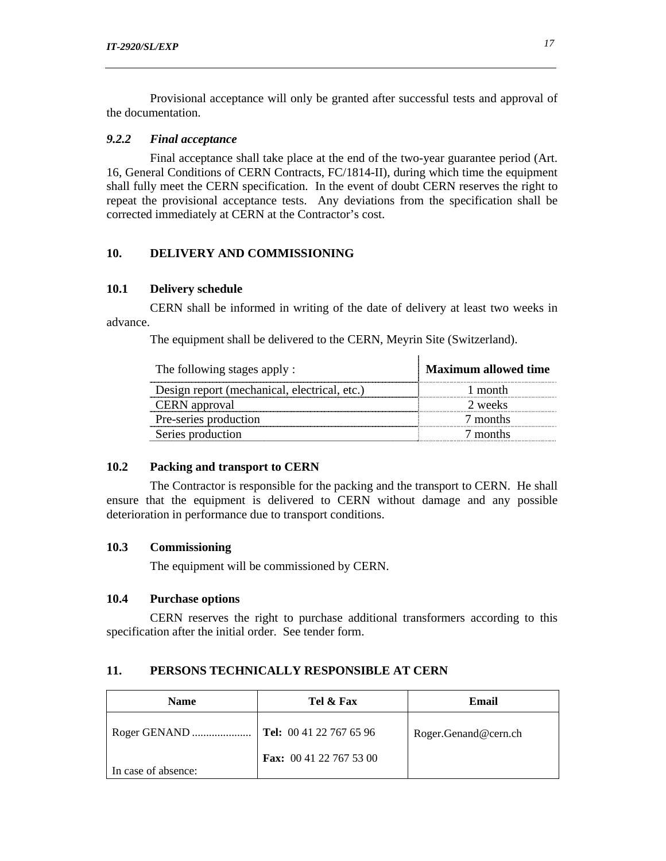Provisional acceptance will only be granted after successful tests and approval of the documentation.

#### *9.2.2 Final acceptance*

Final acceptance shall take place at the end of the two-year guarantee period (Art. 16, General Conditions of CERN Contracts, FC/1814-II), during which time the equipment shall fully meet the CERN specification. In the event of doubt CERN reserves the right to repeat the provisional acceptance tests. Any deviations from the specification shall be corrected immediately at CERN at the Contractor's cost.

## **10. DELIVERY AND COMMISSIONING**

#### **10.1 Delivery schedule**

CERN shall be informed in writing of the date of delivery at least two weeks in advance.

The equipment shall be delivered to the CERN, Meyrin Site (Switzerland).

| The following stages apply :                 | <b>Maximum allowed time</b> |
|----------------------------------------------|-----------------------------|
| Design report (mechanical, electrical, etc.) | 1 month                     |
| <b>CERN</b> approval                         | 2 weeks                     |
| Pre-series production                        | 7 months                    |
| Series production                            | 7 months                    |

 $\mathbf{r}$ 

# **10.2 Packing and transport to CERN**

The Contractor is responsible for the packing and the transport to CERN. He shall ensure that the equipment is delivered to CERN without damage and any possible deterioration in performance due to transport conditions.

## **10.3 Commissioning**

The equipment will be commissioned by CERN.

# **10.4 Purchase options**

CERN reserves the right to purchase additional transformers according to this specification after the initial order. See tender form.

# **11. PERSONS TECHNICALLY RESPONSIBLE AT CERN**

| <b>Name</b>         | Tel & Fax                      | Email                |
|---------------------|--------------------------------|----------------------|
|                     |                                | Roger.Genand@cern.ch |
| In case of absence: | <b>Fax:</b> 00 41 22 767 53 00 |                      |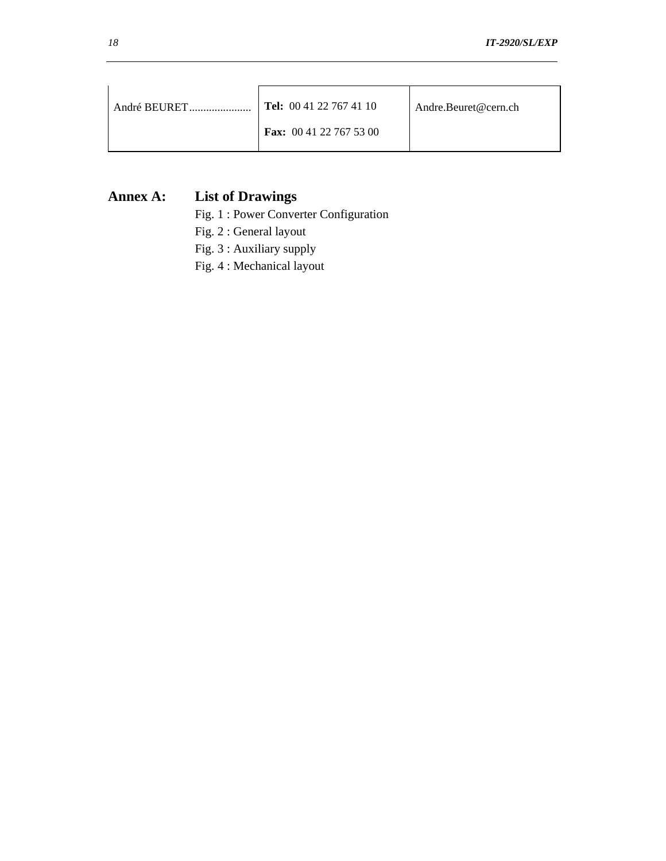| André BEURET | $\blacksquare$ Tel: 00 41 22 767 41 10 | Andre.Beuret@cern.ch |
|--------------|----------------------------------------|----------------------|
|              | <b>Fax:</b> 00 41 22 767 53 00         |                      |

# **Annex A: List of Drawings**

- Fig. 1 : Power Converter Configuration
- Fig. 2 : General layout
- Fig. 3 : Auxiliary supply
- Fig. 4 : Mechanical layout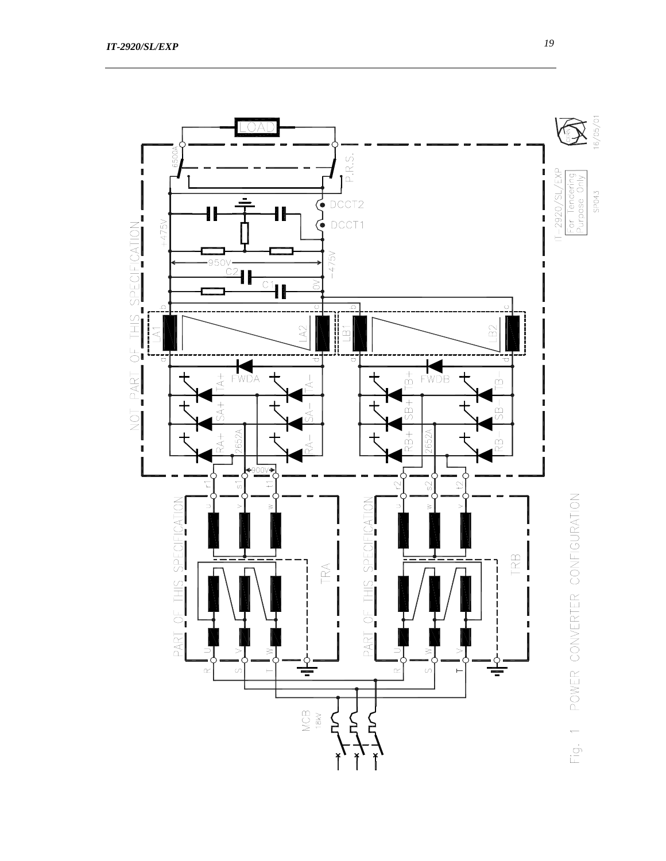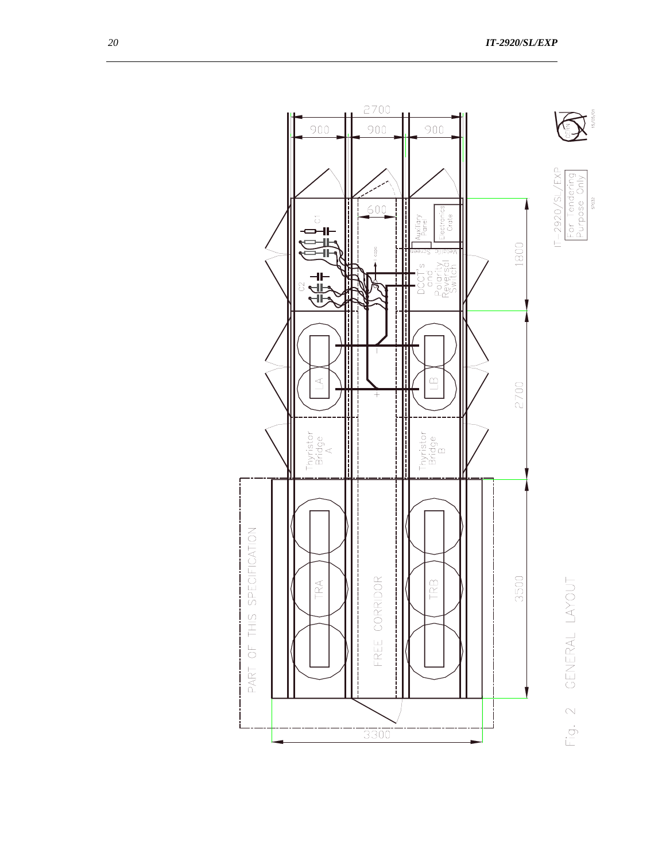



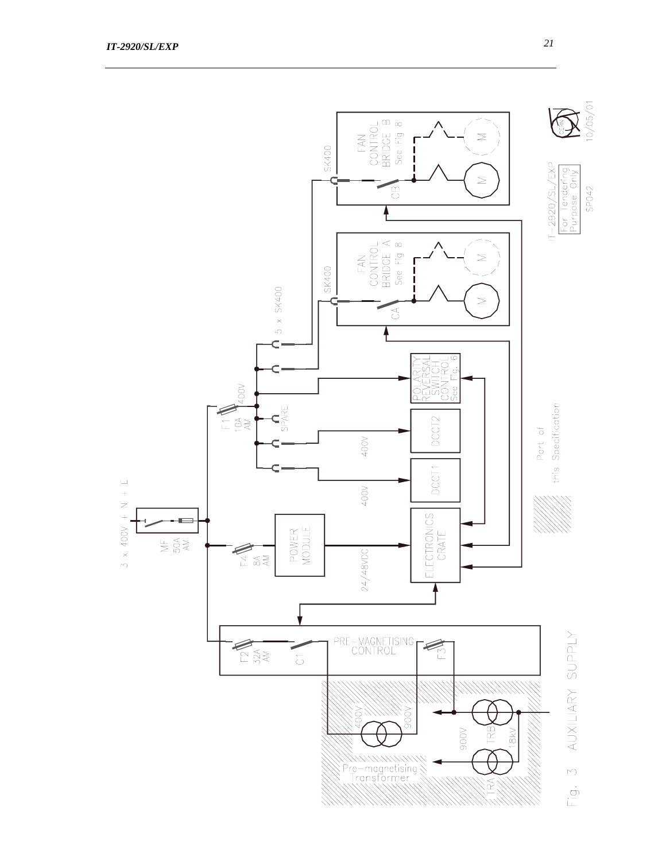